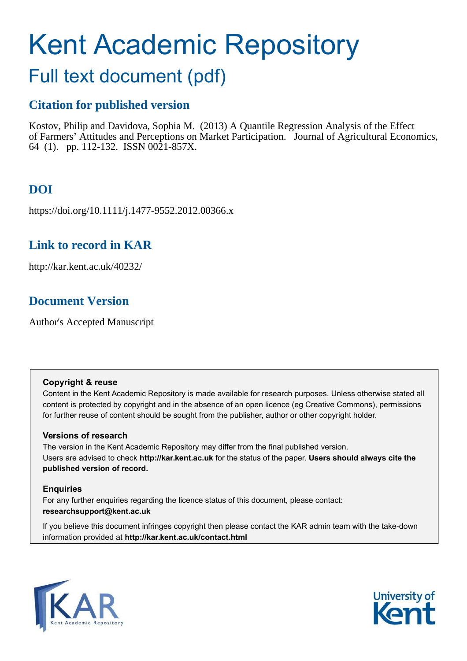# Kent Academic Repository

## Full text document (pdf)

## **Citation for published version**

Kostov, Philip and Davidova, Sophia M. (2013) A Quantile Regression Analysis of the Effect of Farmers' Attitudes and Perceptions on Market Participation. Journal of Agricultural Economics, 64 (1). pp. 112-132. ISSN 0021-857X.

## **DOI**

https://doi.org/10.1111/j.1477-9552.2012.00366.x

## **Link to record in KAR**

http://kar.kent.ac.uk/40232/

## **Document Version**

Author's Accepted Manuscript

#### **Copyright & reuse**

Content in the Kent Academic Repository is made available for research purposes. Unless otherwise stated all content is protected by copyright and in the absence of an open licence (eg Creative Commons), permissions for further reuse of content should be sought from the publisher, author or other copyright holder.

#### **Versions of research**

The version in the Kent Academic Repository may differ from the final published version. Users are advised to check **http://kar.kent.ac.uk** for the status of the paper. **Users should always cite the published version of record.**

#### **Enquiries**

For any further enquiries regarding the licence status of this document, please contact: **researchsupport@kent.ac.uk**

If you believe this document infringes copyright then please contact the KAR admin team with the take-down information provided at **http://kar.kent.ac.uk/contact.html**



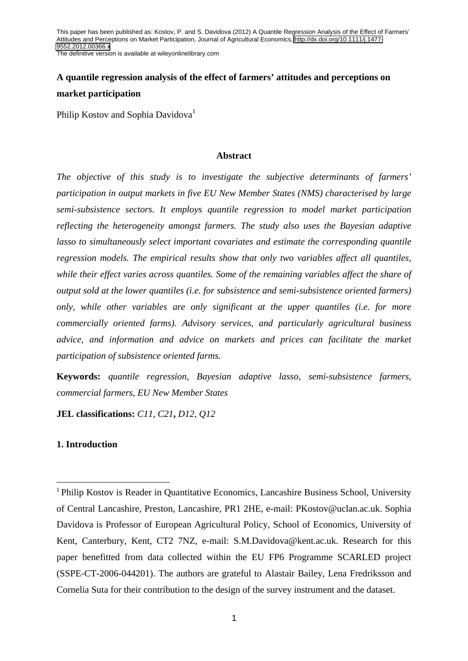The definitive version is available at wileyonlinelibrary.com

## **A quantile regression analysis of the effect of farmers' attitudes and perceptions on market participation**

Philip Kostov and Sophia Davidova<sup>1</sup>

#### **Abstract**

*The objective of this study is to investigate the subjective determinants of farmers' participation in output markets in five EU New Member States (NMS) characterised by large semi-subsistence sectors. It employs quantile regression to model market participation reflecting the heterogeneity amongst farmers. The study also uses the Bayesian adaptive lasso to simultaneously select important covariates and estimate the corresponding quantile regression models. The empirical results show that only two variables affect all quantiles, while their effect varies across quantiles. Some of the remaining variables affect the share of output sold at the lower quantiles (i.e. for subsistence and semi-subsistence oriented farmers) only, while other variables are only significant at the upper quantiles (i.e. for more commercially oriented farms). Advisory services, and particularly agricultural business advice, and information and advice on markets and prices can facilitate the market participation of subsistence oriented farms.* 

**Keywords:** *quantile regression, Bayesian adaptive lasso, semi-subsistence farmers, commercial farmers, EU New Member States*

**JEL classifications:** *C11, C21***,** *D12, Q12*

#### **1. Introduction**

-

<sup>1</sup> Philip Kostov is Reader in Quantitative Economics, Lancashire Business School, University of Central Lancashire, Preston, Lancashire, PR1 2HE, e-mail: PKostov@uclan.ac.uk. Sophia Davidova is Professor of European Agricultural Policy, School of Economics, University of Kent, Canterbury, Kent, CT2 7NZ, e-mail: S.M.Davidova@kent.ac.uk. Research for this paper benefitted from data collected within the EU FP6 Programme SCARLED project (SSPE-CT-2006-044201). The authors are grateful to Alastair Bailey, Lena Fredriksson and Cornelia Suta for their contribution to the design of the survey instrument and the dataset.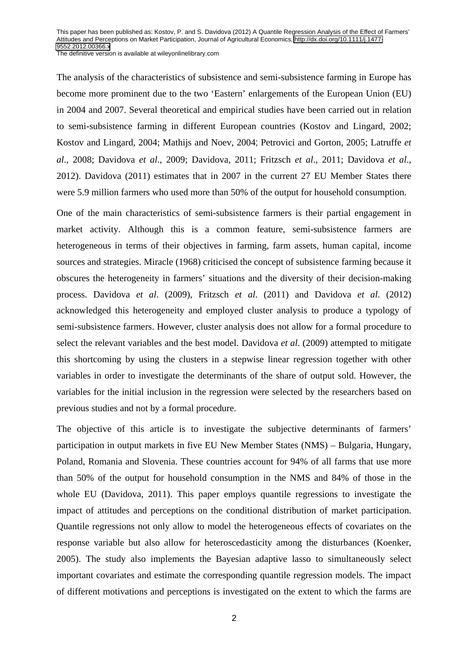The definitive version is available at wileyonlinelibrary.com

The analysis of the characteristics of subsistence and semi-subsistence farming in Europe has become more prominent due to the two 'Eastern' enlargements of the European Union (EU) in 2004 and 2007. Several theoretical and empirical studies have been carried out in relation to semi-subsistence farming in different European countries (Kostov and Lingard, 2002; Kostov and Lingard, 2004; Mathijs and Noev, 2004; Petrovici and Gorton, 2005; Latruffe *et al*., 2008; Davidova *et al*., 2009; Davidova, 2011; Fritzsch *et al*., 2011; Davidova *et al*., 2012). Davidova (2011) estimates that in 2007 in the current 27 EU Member States there were 5.9 million farmers who used more than 50% of the output for household consumption.

One of the main characteristics of semi-subsistence farmers is their partial engagement in market activity. Although this is a common feature, semi-subsistence farmers are heterogeneous in terms of their objectives in farming, farm assets, human capital, income sources and strategies. Miracle (1968) criticised the concept of subsistence farming because it obscures the heterogeneity in farmers' situations and the diversity of their decision-making process. Davidova *et al*. (2009), Fritzsch *et al*. (2011) and Davidova *et al*. (2012) acknowledged this heterogeneity and employed cluster analysis to produce a typology of semi-subsistence farmers. However, cluster analysis does not allow for a formal procedure to select the relevant variables and the best model. Davidova *et al*. (2009) attempted to mitigate this shortcoming by using the clusters in a stepwise linear regression together with other variables in order to investigate the determinants of the share of output sold. However, the variables for the initial inclusion in the regression were selected by the researchers based on previous studies and not by a formal procedure.

The objective of this article is to investigate the subjective determinants of farmers' participation in output markets in five EU New Member States (NMS) – Bulgaria, Hungary, Poland, Romania and Slovenia. These countries account for 94% of all farms that use more than 50% of the output for household consumption in the NMS and 84% of those in the whole EU (Davidova, 2011). This paper employs quantile regressions to investigate the impact of attitudes and perceptions on the conditional distribution of market participation. Quantile regressions not only allow to model the heterogeneous effects of covariates on the response variable but also allow for heteroscedasticity among the disturbances (Koenker, 2005). The study also implements the Bayesian adaptive lasso to simultaneously select important covariates and estimate the corresponding quantile regression models. The impact of different motivations and perceptions is investigated on the extent to which the farms are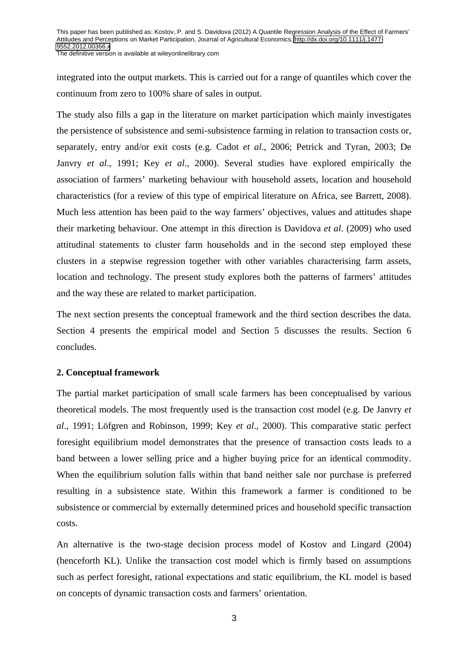The definitive version is available at wileyonlinelibrary.com

integrated into the output markets. This is carried out for a range of quantiles which cover the continuum from zero to 100% share of sales in output.

The study also fills a gap in the literature on market participation which mainly investigates the persistence of subsistence and semi-subsistence farming in relation to transaction costs or, separately, entry and/or exit costs (e.g. Cadot *et al*., 2006; Petrick and Tyran, 2003; De Janvry *et al*., 1991; Key *et al*., 2000). Several studies have explored empirically the association of farmers' marketing behaviour with household assets, location and household characteristics (for a review of this type of empirical literature on Africa, see Barrett, 2008). Much less attention has been paid to the way farmers' objectives, values and attitudes shape their marketing behaviour. One attempt in this direction is Davidova *et al*. (2009) who used attitudinal statements to cluster farm households and in the second step employed these clusters in a stepwise regression together with other variables characterising farm assets, location and technology. The present study explores both the patterns of farmers' attitudes and the way these are related to market participation.

The next section presents the conceptual framework and the third section describes the data. Section 4 presents the empirical model and Section 5 discusses the results. Section 6 concludes.

#### **2. Conceptual framework**

The partial market participation of small scale farmers has been conceptualised by various theoretical models. The most frequently used is the transaction cost model (e.g. De Janvry *et al*., 1991; Löfgren and Robinson, 1999; Key *et al*., 2000). This comparative static perfect foresight equilibrium model demonstrates that the presence of transaction costs leads to a band between a lower selling price and a higher buying price for an identical commodity. When the equilibrium solution falls within that band neither sale nor purchase is preferred resulting in a subsistence state. Within this framework a farmer is conditioned to be subsistence or commercial by externally determined prices and household specific transaction costs.

An alternative is the two-stage decision process model of Kostov and Lingard (2004) (henceforth KL). Unlike the transaction cost model which is firmly based on assumptions such as perfect foresight, rational expectations and static equilibrium, the KL model is based on concepts of dynamic transaction costs and farmers' orientation.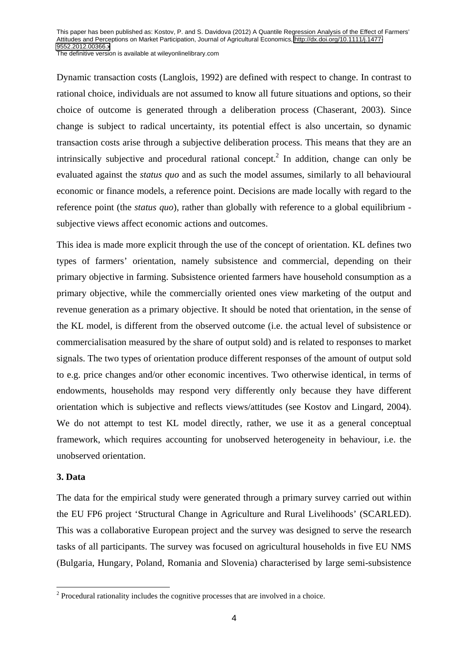The definitive version is available at wileyonlinelibrary.com

Dynamic transaction costs (Langlois, 1992) are defined with respect to change. In contrast to rational choice, individuals are not assumed to know all future situations and options, so their choice of outcome is generated through a deliberation process (Chaserant, 2003). Since change is subject to radical uncertainty, its potential effect is also uncertain, so dynamic transaction costs arise through a subjective deliberation process. This means that they are an intrinsically subjective and procedural rational concept.<sup>2</sup> In addition, change can only be evaluated against the *status quo* and as such the model assumes, similarly to all behavioural economic or finance models, a reference point. Decisions are made locally with regard to the reference point (the *status quo*), rather than globally with reference to a global equilibrium subjective views affect economic actions and outcomes.

This idea is made more explicit through the use of the concept of orientation. KL defines two types of farmers' orientation, namely subsistence and commercial, depending on their primary objective in farming. Subsistence oriented farmers have household consumption as a primary objective, while the commercially oriented ones view marketing of the output and revenue generation as a primary objective. It should be noted that orientation, in the sense of the KL model, is different from the observed outcome (i.e. the actual level of subsistence or commercialisation measured by the share of output sold) and is related to responses to market signals. The two types of orientation produce different responses of the amount of output sold to e.g. price changes and/or other economic incentives. Two otherwise identical, in terms of endowments, households may respond very differently only because they have different orientation which is subjective and reflects views/attitudes (see Kostov and Lingard, 2004). We do not attempt to test KL model directly, rather, we use it as a general conceptual framework, which requires accounting for unobserved heterogeneity in behaviour, i.e. the unobserved orientation.

#### **3. Data**

-

The data for the empirical study were generated through a primary survey carried out within the EU FP6 project 'Structural Change in Agriculture and Rural Livelihoods' (SCARLED). This was a collaborative European project and the survey was designed to serve the research tasks of all participants. The survey was focused on agricultural households in five EU NMS (Bulgaria, Hungary, Poland, Romania and Slovenia) characterised by large semi-subsistence

<sup>&</sup>lt;sup>2</sup> Procedural rationality includes the cognitive processes that are involved in a choice.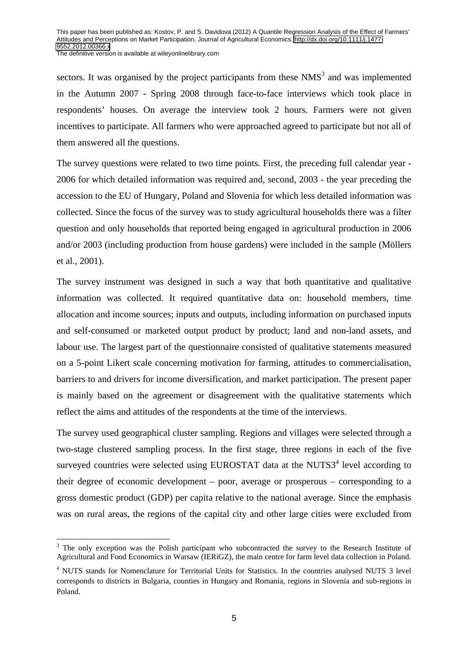The definitive version is available at wileyonlinelibrary.com

-

sectors. It was organised by the project participants from these  $NMS<sup>3</sup>$  and was implemented in the Autumn 2007 - Spring 2008 through face-to-face interviews which took place in respondents' houses. On average the interview took 2 hours. Farmers were not given incentives to participate. All farmers who were approached agreed to participate but not all of them answered all the questions.

The survey questions were related to two time points. First, the preceding full calendar year - 2006 for which detailed information was required and, second, 2003 - the year preceding the accession to the EU of Hungary, Poland and Slovenia for which less detailed information was collected. Since the focus of the survey was to study agricultural households there was a filter question and only households that reported being engaged in agricultural production in 2006 and/or 2003 (including production from house gardens) were included in the sample (Möllers et al., 2001).

The survey instrument was designed in such a way that both quantitative and qualitative information was collected. It required quantitative data on: household members, time allocation and income sources; inputs and outputs, including information on purchased inputs and self-consumed or marketed output product by product; land and non-land assets, and labour use. The largest part of the questionnaire consisted of qualitative statements measured on a 5-point Likert scale concerning motivation for farming, attitudes to commercialisation, barriers to and drivers for income diversification, and market participation. The present paper is mainly based on the agreement or disagreement with the qualitative statements which reflect the aims and attitudes of the respondents at the time of the interviews.

The survey used geographical cluster sampling. Regions and villages were selected through a two-stage clustered sampling process. In the first stage, three regions in each of the five surveyed countries were selected using EUROSTAT data at the NUTS3<sup>4</sup> level according to their degree of economic development – poor, average or prosperous – corresponding to a gross domestic product (GDP) per capita relative to the national average. Since the emphasis was on rural areas, the regions of the capital city and other large cities were excluded from

<sup>&</sup>lt;sup>3</sup> The only exception was the Polish participant who subcontracted the survey to the Research Institute of Agricultural and Food Economics in Warsaw (IERiGZ), the main centre for farm level data collection in Poland.

<sup>&</sup>lt;sup>4</sup> NUTS stands for Nomenclature for Territorial Units for Statistics. In the countries analysed NUTS 3 level corresponds to districts in Bulgaria, counties in Hungary and Romania, regions in Slovenia and sub-regions in Poland.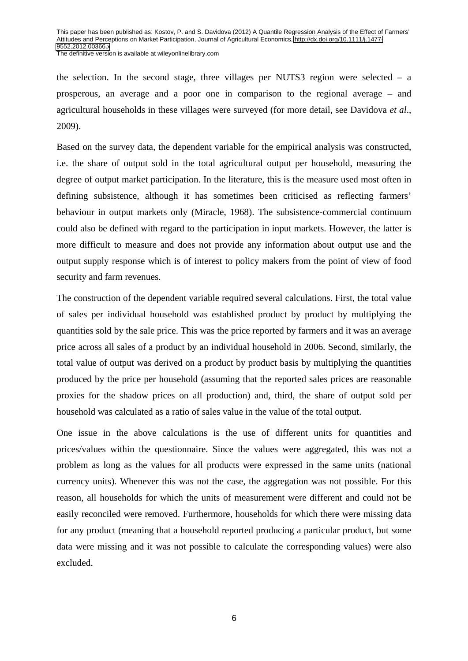This paper has been published as: Kostov, P. and S. Davidova (2012) A Quantile Regression Analysis of the Effect of Farmers' Attitudes and Perceptions on Market Participation, Journal of Agricultural Economics,<http://dx.doi.org/10.1111/j.1477-> <9552.2012.00366.x> The definitive version is available at wileyonlinelibrary.com

the selection. In the second stage, three villages per NUTS3 region were selected  $-$  a prosperous, an average and a poor one in comparison to the regional average – and agricultural households in these villages were surveyed (for more detail, see Davidova *et al*., 2009).

Based on the survey data, the dependent variable for the empirical analysis was constructed, i.e. the share of output sold in the total agricultural output per household, measuring the degree of output market participation. In the literature, this is the measure used most often in defining subsistence, although it has sometimes been criticised as reflecting farmers' behaviour in output markets only (Miracle, 1968). The subsistence-commercial continuum could also be defined with regard to the participation in input markets. However, the latter is more difficult to measure and does not provide any information about output use and the output supply response which is of interest to policy makers from the point of view of food security and farm revenues.

The construction of the dependent variable required several calculations. First, the total value of sales per individual household was established product by product by multiplying the quantities sold by the sale price. This was the price reported by farmers and it was an average price across all sales of a product by an individual household in 2006. Second, similarly, the total value of output was derived on a product by product basis by multiplying the quantities produced by the price per household (assuming that the reported sales prices are reasonable proxies for the shadow prices on all production) and, third, the share of output sold per household was calculated as a ratio of sales value in the value of the total output.

One issue in the above calculations is the use of different units for quantities and prices/values within the questionnaire. Since the values were aggregated, this was not a problem as long as the values for all products were expressed in the same units (national currency units). Whenever this was not the case, the aggregation was not possible. For this reason, all households for which the units of measurement were different and could not be easily reconciled were removed. Furthermore, households for which there were missing data for any product (meaning that a household reported producing a particular product, but some data were missing and it was not possible to calculate the corresponding values) were also excluded.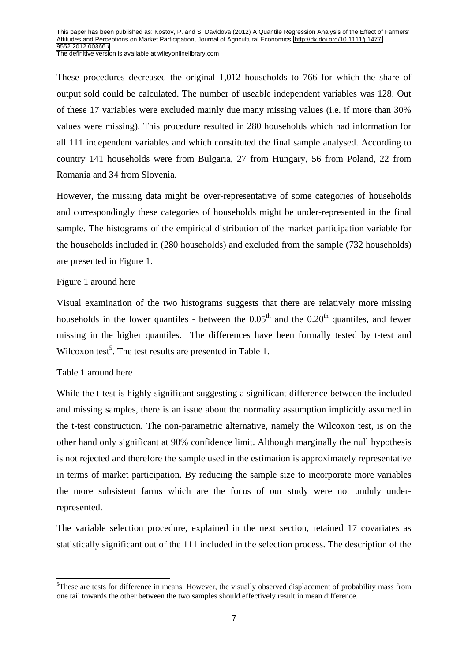The definitive version is available at wileyonlinelibrary.com

These procedures decreased the original 1,012 households to 766 for which the share of output sold could be calculated. The number of useable independent variables was 128. Out of these 17 variables were excluded mainly due many missing values (i.e. if more than 30% values were missing). This procedure resulted in 280 households which had information for all 111 independent variables and which constituted the final sample analysed. According to country 141 households were from Bulgaria, 27 from Hungary, 56 from Poland, 22 from Romania and 34 from Slovenia.

However, the missing data might be over-representative of some categories of households and correspondingly these categories of households might be under-represented in the final sample. The histograms of the empirical distribution of the market participation variable for the households included in (280 households) and excluded from the sample (732 households) are presented in Figure 1.

#### Figure 1 around here

Visual examination of the two histograms suggests that there are relatively more missing households in the lower quantiles - between the  $0.05<sup>th</sup>$  and the  $0.20<sup>th</sup>$  quantiles, and fewer missing in the higher quantiles. The differences have been formally tested by t-test and Wilcoxon test<sup>5</sup>. The test results are presented in Table 1.

#### Table 1 around here

-

While the t-test is highly significant suggesting a significant difference between the included and missing samples, there is an issue about the normality assumption implicitly assumed in the t-test construction. The non-parametric alternative, namely the Wilcoxon test, is on the other hand only significant at 90% confidence limit. Although marginally the null hypothesis is not rejected and therefore the sample used in the estimation is approximately representative in terms of market participation. By reducing the sample size to incorporate more variables the more subsistent farms which are the focus of our study were not unduly underrepresented.

The variable selection procedure, explained in the next section, retained 17 covariates as statistically significant out of the 111 included in the selection process. The description of the

<sup>&</sup>lt;sup>5</sup>These are tests for difference in means. However, the visually observed displacement of probability mass from one tail towards the other between the two samples should effectively result in mean difference.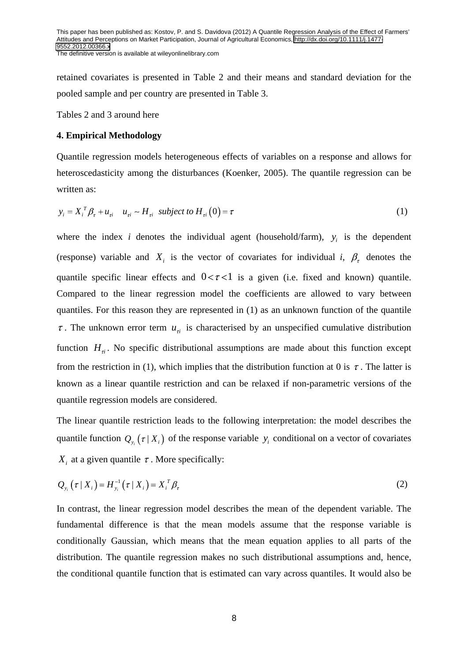The definitive version is available at wileyonlinelibrary.com

retained covariates is presented in Table 2 and their means and standard deviation for the pooled sample and per country are presented in Table 3.

Tables 2 and 3 around here

#### **4. Empirical Methodology**

Quantile regression models heterogeneous effects of variables on a response and allows for heteroscedasticity among the disturbances (Koenker, 2005). The quantile regression can be written as:

$$
y_i = X_i^T \beta_\tau + u_{\tau i} \quad u_{\tau i} \sim H_{\tau i} \text{ subject to } H_{\tau i}(0) = \tau \tag{1}
$$

where the index *i* denotes the individual agent (household/farm),  $y_i$  is the dependent (response) variable and  $X_i$  is the vector of covariates for individual *i*,  $\beta_\tau$  denotes the quantile specific linear effects and  $0 < \tau < 1$  is a given (i.e. fixed and known) quantile. Compared to the linear regression model the coefficients are allowed to vary between quantiles. For this reason they are represented in (1) as an unknown function of the quantile . The unknown error term  $u_{\tau i}$  is characterised by an unspecified cumulative distribution function  $H_{\tau i}$ . No specific distributional assumptions are made about this function except from the restriction in (1), which implies that the distribution function at 0 is  $\tau$ . The latter is known as a linear quantile restriction and can be relaxed if non-parametric versions of the quantile regression models are considered.

The linear quantile restriction leads to the following interpretation: the model describes the quantile function  $Q_{y_i}(\tau | X_i)$  of the response variable  $y_i$  conditional on a vector of covariates  $X_i$  at a given quantile  $\tau$ . More specifically:

$$
Q_{y_i}(\tau | X_i) = H_{y_i}^{-1}(\tau | X_i) = X_i^T \beta_\tau
$$
\n
$$
(2)
$$

In contrast, the linear regression model describes the mean of the dependent variable. The fundamental difference is that the mean models assume that the response variable is conditionally Gaussian, which means that the mean equation applies to all parts of the distribution. The quantile regression makes no such distributional assumptions and, hence, the conditional quantile function that is estimated can vary across quantiles. It would also be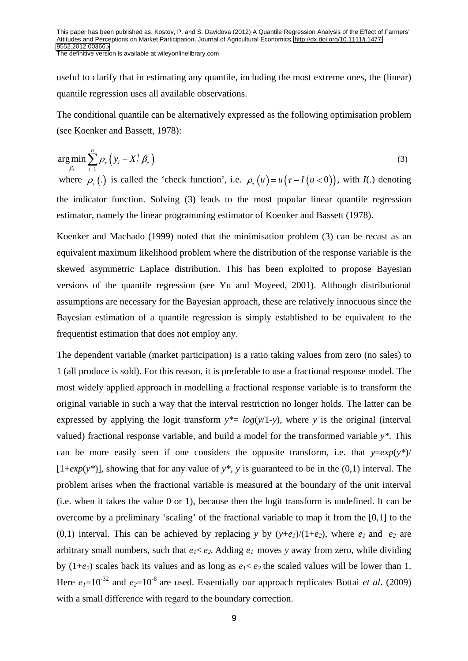The definitive version is available at wileyonlinelibrary.com

useful to clarify that in estimating any quantile, including the most extreme ones, the (linear) quantile regression uses all available observations.

The conditional quantile can be alternatively expressed as the following optimisation problem (see Koenker and Bassett, 1978):

$$
\arg\min_{\beta_{\tau}} \sum_{i=1}^{n} \rho_{\tau} \left( y_i - X_i^T \beta_{\tau} \right) \tag{3}
$$

where  $\rho_{\tau}$ (.) is called the 'check function', i.e.  $\rho_{\tau}(u) = u(\tau - I(u < 0))$ , with *I*(.) denoting the indicator function. Solving (3) leads to the most popular linear quantile regression estimator, namely the linear programming estimator of Koenker and Bassett (1978).

Koenker and Machado (1999) noted that the minimisation problem (3) can be recast as an equivalent maximum likelihood problem where the distribution of the response variable is the skewed asymmetric Laplace distribution. This has been exploited to propose Bayesian versions of the quantile regression (see Yu and Moyeed, 2001). Although distributional assumptions are necessary for the Bayesian approach, these are relatively innocuous since the Bayesian estimation of a quantile regression is simply established to be equivalent to the frequentist estimation that does not employ any.

The dependent variable (market participation) is a ratio taking values from zero (no sales) to 1 (all produce is sold). For this reason, it is preferable to use a fractional response model. The most widely applied approach in modelling a fractional response variable is to transform the original variable in such a way that the interval restriction no longer holds. The latter can be expressed by applying the logit transform  $y^* = log(y/1-y)$ , where *y* is the original (interval valued) fractional response variable, and build a model for the transformed variable *y\*.* This can be more easily seen if one considers the opposite transform, i.e. that *y*=*exp*(*y\**)/  $[1+exp(y^*)]$ , showing that for any value of  $y^*$ , *y* is guaranteed to be in the (0,1) interval. The problem arises when the fractional variable is measured at the boundary of the unit interval (i.e. when it takes the value 0 or 1), because then the logit transform is undefined. It can be overcome by a preliminary 'scaling' of the fractional variable to map it from the [0,1] to the (0,1) interval. This can be achieved by replacing *y* by  $(y+e_1)/(1+e_2)$ , where  $e_1$  and  $e_2$  are arbitrary small numbers, such that  $e_1$ <  $e_2$ . Adding  $e_1$  moves  $y$  away from zero, while dividing by (1+*e*<sub>2</sub>) scales back its values and as long as  $e_1 < e_2$  the scaled values will be lower than 1. Here  $e_1=10^{-32}$  and  $e_2=10^{-8}$  are used. Essentially our approach replicates Bottai *et al.* (2009) with a small difference with regard to the boundary correction.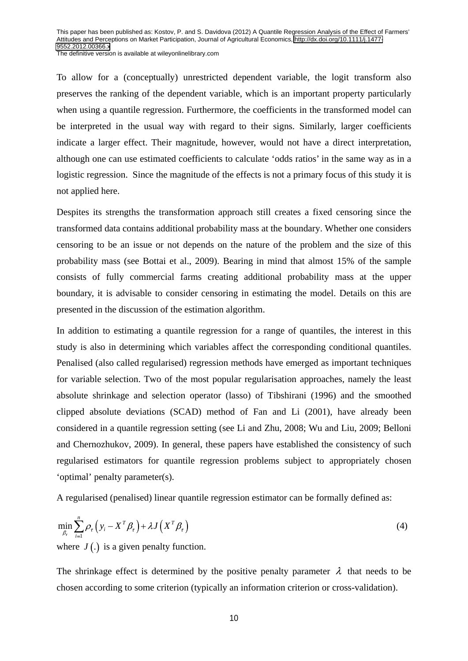The definitive version is available at wileyonlinelibrary.com

To allow for a (conceptually) unrestricted dependent variable, the logit transform also preserves the ranking of the dependent variable, which is an important property particularly when using a quantile regression. Furthermore, the coefficients in the transformed model can be interpreted in the usual way with regard to their signs. Similarly, larger coefficients indicate a larger effect. Their magnitude, however, would not have a direct interpretation, although one can use estimated coefficients to calculate 'odds ratios' in the same way as in a logistic regression. Since the magnitude of the effects is not a primary focus of this study it is not applied here.

Despites its strengths the transformation approach still creates a fixed censoring since the transformed data contains additional probability mass at the boundary. Whether one considers censoring to be an issue or not depends on the nature of the problem and the size of this probability mass (see Bottai et al., 2009). Bearing in mind that almost 15% of the sample consists of fully commercial farms creating additional probability mass at the upper boundary, it is advisable to consider censoring in estimating the model. Details on this are presented in the discussion of the estimation algorithm.

In addition to estimating a quantile regression for a range of quantiles, the interest in this study is also in determining which variables affect the corresponding conditional quantiles. Penalised (also called regularised) regression methods have emerged as important techniques for variable selection. Two of the most popular regularisation approaches, namely the least absolute shrinkage and selection operator (lasso) of Tibshirani (1996) and the smoothed clipped absolute deviations (SCAD) method of Fan and Li (2001), have already been considered in a quantile regression setting (see Li and Zhu, 2008; Wu and Liu, 2009; Belloni and Chernozhukov, 2009). In general, these papers have established the consistency of such regularised estimators for quantile regression problems subject to appropriately chosen 'optimal' penalty parameter(s).

A regularised (penalised) linear quantile regression estimator can be formally defined as:

$$
\min_{\beta_r} \sum_{i=1}^n \rho_r \left( y_i - X^T \beta_r \right) + \lambda J \left( X^T \beta_r \right) \tag{4}
$$

where  $J(.)$  is a given penalty function.

The shrinkage effect is determined by the positive penalty parameter  $\lambda$  that needs to be chosen according to some criterion (typically an information criterion or cross-validation).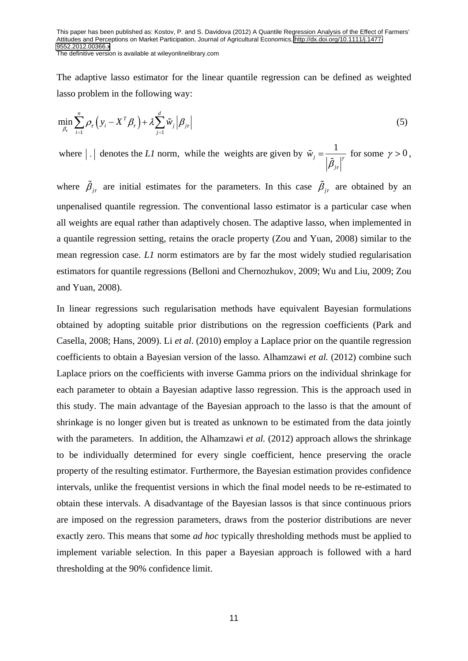The definitive version is available at wileyonlinelibrary.com

The adaptive lasso estimator for the linear quantile regression can be defined as weighted lasso problem in the following way:

$$
\min_{\beta_r} \sum_{i=1}^n \rho_r \left( y_i - X^T \beta_r \right) + \lambda \sum_{j=1}^d \tilde{w}_j \left| \beta_{j\tau} \right| \tag{5}
$$

where |  $\vert \cdot \vert$  denotes the *L1* norm, while the weights are given by  $\tilde{w}_j = \frac{1}{\vert z \vert}$ *j*  $\tilde{w}_i = \frac{1}{|x_i|^{\gamma}}$  for some  $\gamma > 0$ ,

where  $\beta_{j\tau}$  are initial estimates for the parameters. In this case  $\beta_{j\tau}$  are obtained by an unpenalised quantile regression. The conventional lasso estimator is a particular case when all weights are equal rather than adaptively chosen. The adaptive lasso, when implemented in a quantile regression setting, retains the oracle property (Zou and Yuan, 2008) similar to the mean regression case. *L1* norm estimators are by far the most widely studied regularisation estimators for quantile regressions (Belloni and Chernozhukov, 2009; Wu and Liu, 2009; Zou and Yuan, 2008).

In linear regressions such regularisation methods have equivalent Bayesian formulations obtained by adopting suitable prior distributions on the regression coefficients (Park and Casella, 2008; Hans, 2009). Li *et al*. (2010) employ a Laplace prior on the quantile regression coefficients to obtain a Bayesian version of the lasso. Alhamzawi *et al.* (2012) combine such Laplace priors on the coefficients with inverse Gamma priors on the individual shrinkage for each parameter to obtain a Bayesian adaptive lasso regression. This is the approach used in this study. The main advantage of the Bayesian approach to the lasso is that the amount of shrinkage is no longer given but is treated as unknown to be estimated from the data jointly with the parameters. In addition, the Alhamzawi *et al.* (2012) approach allows the shrinkage to be individually determined for every single coefficient, hence preserving the oracle property of the resulting estimator. Furthermore, the Bayesian estimation provides confidence intervals, unlike the frequentist versions in which the final model needs to be re-estimated to obtain these intervals. A disadvantage of the Bayesian lassos is that since continuous priors are imposed on the regression parameters, draws from the posterior distributions are never exactly zero. This means that some *ad hoc* typically thresholding methods must be applied to implement variable selection. In this paper a Bayesian approach is followed with a hard thresholding at the 90% confidence limit.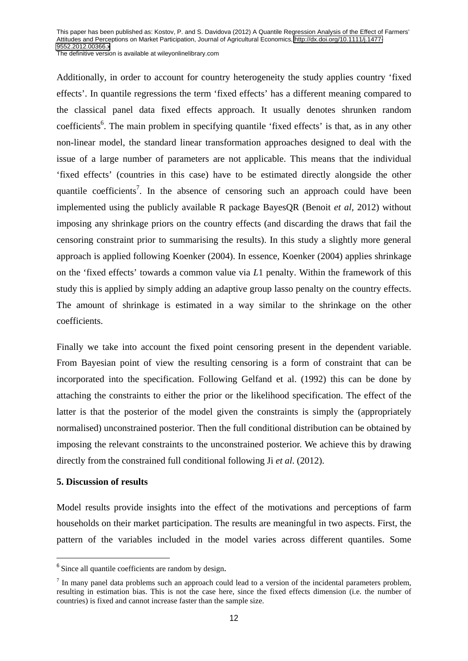The definitive version is available at wileyonlinelibrary.com

Additionally, in order to account for country heterogeneity the study applies country 'fixed effects'. In quantile regressions the term 'fixed effects' has a different meaning compared to the classical panel data fixed effects approach. It usually denotes shrunken random coefficients<sup>6</sup>. The main problem in specifying quantile 'fixed effects' is that, as in any other non-linear model, the standard linear transformation approaches designed to deal with the issue of a large number of parameters are not applicable. This means that the individual 'fixed effects' (countries in this case) have to be estimated directly alongside the other quantile coefficients<sup>7</sup>. In the absence of censoring such an approach could have been implemented using the publicly available R package BayesQR (Benoit *et al*, 2012) without imposing any shrinkage priors on the country effects (and discarding the draws that fail the censoring constraint prior to summarising the results). In this study a slightly more general approach is applied following Koenker (2004). In essence, Koenker (2004) applies shrinkage on the 'fixed effects' towards a common value via *L*1 penalty. Within the framework of this study this is applied by simply adding an adaptive group lasso penalty on the country effects. The amount of shrinkage is estimated in a way similar to the shrinkage on the other coefficients.

Finally we take into account the fixed point censoring present in the dependent variable. From Bayesian point of view the resulting censoring is a form of constraint that can be incorporated into the specification. Following Gelfand et al. (1992) this can be done by attaching the constraints to either the prior or the likelihood specification. The effect of the latter is that the posterior of the model given the constraints is simply the (appropriately normalised) unconstrained posterior. Then the full conditional distribution can be obtained by imposing the relevant constraints to the unconstrained posterior. We achieve this by drawing directly from the constrained full conditional following Ji *et al*. (2012).

#### **5. Discussion of results**

-

Model results provide insights into the effect of the motivations and perceptions of farm households on their market participation. The results are meaningful in two aspects. First, the pattern of the variables included in the model varies across different quantiles. Some

<sup>&</sup>lt;sup>6</sup> Since all quantile coefficients are random by design.

 $<sup>7</sup>$  In many panel data problems such an approach could lead to a version of the incidental parameters problem,</sup> resulting in estimation bias. This is not the case here, since the fixed effects dimension (i.e. the number of countries) is fixed and cannot increase faster than the sample size.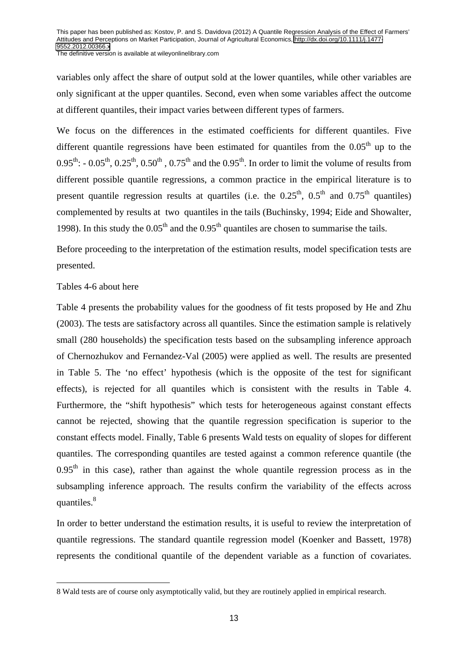The definitive version is available at wileyonlinelibrary.com

variables only affect the share of output sold at the lower quantiles, while other variables are only significant at the upper quantiles. Second, even when some variables affect the outcome at different quantiles, their impact varies between different types of farmers.

We focus on the differences in the estimated coefficients for different quantiles. Five different quantile regressions have been estimated for quantiles from the  $0.05<sup>th</sup>$  up to the  $0.95<sup>th</sup>$ :  $-0.05<sup>th</sup>$ ,  $0.25<sup>th</sup>$ ,  $0.50<sup>th</sup>$ ,  $0.75<sup>th</sup>$  and the  $0.95<sup>th</sup>$ . In order to limit the volume of results from different possible quantile regressions, a common practice in the empirical literature is to present quantile regression results at quartiles (i.e. the  $0.25<sup>th</sup>$ ,  $0.5<sup>th</sup>$  and  $0.75<sup>th</sup>$  quantiles) complemented by results at two quantiles in the tails (Buchinsky, 1994; Eide and Showalter, 1998). In this study the  $0.05<sup>th</sup>$  and the  $0.95<sup>th</sup>$  quantiles are chosen to summarise the tails.

Before proceeding to the interpretation of the estimation results, model specification tests are presented.

#### Tables 4-6 about here

-

Table 4 presents the probability values for the goodness of fit tests proposed by He and Zhu (2003). The tests are satisfactory across all quantiles. Since the estimation sample is relatively small (280 households) the specification tests based on the subsampling inference approach of Chernozhukov and Fernandez-Val (2005) were applied as well. The results are presented in Table 5. The 'no effect' hypothesis (which is the opposite of the test for significant effects), is rejected for all quantiles which is consistent with the results in Table 4. Furthermore, the "shift hypothesis" which tests for heterogeneous against constant effects cannot be rejected, showing that the quantile regression specification is superior to the constant effects model. Finally, Table 6 presents Wald tests on equality of slopes for different quantiles. The corresponding quantiles are tested against a common reference quantile (the  $0.95<sup>th</sup>$  in this case), rather than against the whole quantile regression process as in the subsampling inference approach. The results confirm the variability of the effects across quantiles.<sup>8</sup>

In order to better understand the estimation results, it is useful to review the interpretation of quantile regressions. The standard quantile regression model (Koenker and Bassett, 1978) represents the conditional quantile of the dependent variable as a function of covariates.

<sup>8</sup> Wald tests are of course only asymptotically valid, but they are routinely applied in empirical research.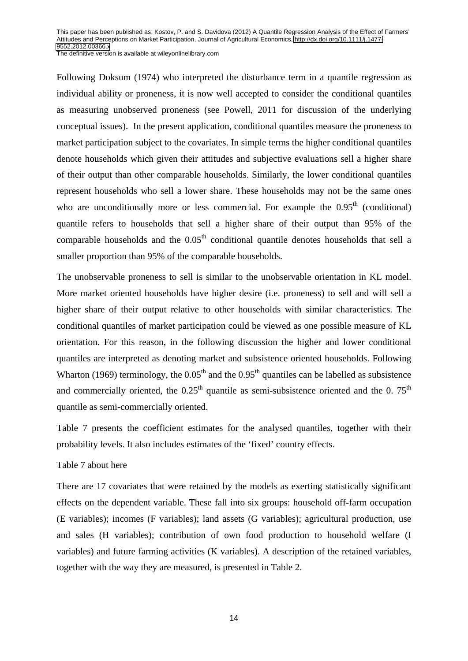The definitive version is available at wileyonlinelibrary.com

Following Doksum (1974) who interpreted the disturbance term in a quantile regression as individual ability or proneness, it is now well accepted to consider the conditional quantiles as measuring unobserved proneness (see Powell, 2011 for discussion of the underlying conceptual issues). In the present application, conditional quantiles measure the proneness to market participation subject to the covariates. In simple terms the higher conditional quantiles denote households which given their attitudes and subjective evaluations sell a higher share of their output than other comparable households. Similarly, the lower conditional quantiles represent households who sell a lower share. These households may not be the same ones who are unconditionally more or less commercial. For example the  $0.95<sup>th</sup>$  (conditional) quantile refers to households that sell a higher share of their output than 95% of the comparable households and the  $0.05<sup>th</sup>$  conditional quantile denotes households that sell a smaller proportion than 95% of the comparable households.

The unobservable proneness to sell is similar to the unobservable orientation in KL model. More market oriented households have higher desire (i.e. proneness) to sell and will sell a higher share of their output relative to other households with similar characteristics. The conditional quantiles of market participation could be viewed as one possible measure of KL orientation. For this reason, in the following discussion the higher and lower conditional quantiles are interpreted as denoting market and subsistence oriented households. Following Wharton (1969) terminology, the  $0.05<sup>th</sup>$  and the  $0.95<sup>th</sup>$  quantiles can be labelled as subsistence and commercially oriented, the  $0.25<sup>th</sup>$  quantile as semi-subsistence oriented and the 0.  $75<sup>th</sup>$ quantile as semi-commercially oriented.

Table 7 presents the coefficient estimates for the analysed quantiles, together with their probability levels. It also includes estimates of the 'fixed' country effects.

#### Table 7 about here

There are 17 covariates that were retained by the models as exerting statistically significant effects on the dependent variable. These fall into six groups: household off-farm occupation (E variables); incomes (F variables); land assets (G variables); agricultural production, use and sales (H variables); contribution of own food production to household welfare (I variables) and future farming activities (K variables). A description of the retained variables, together with the way they are measured, is presented in Table 2.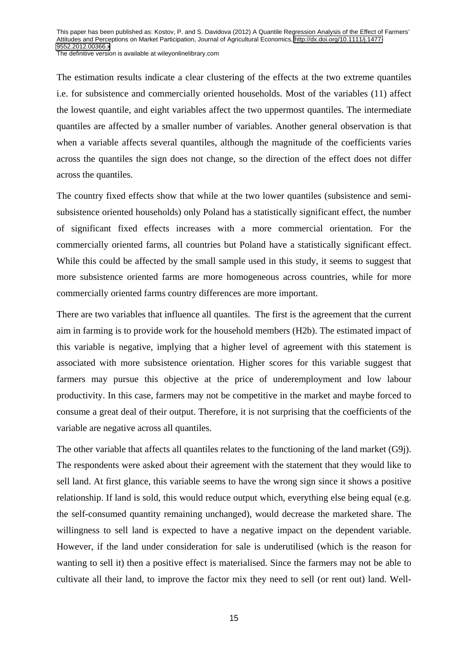The definitive version is available at wileyonlinelibrary.com

The estimation results indicate a clear clustering of the effects at the two extreme quantiles i.e. for subsistence and commercially oriented households. Most of the variables (11) affect the lowest quantile, and eight variables affect the two uppermost quantiles. The intermediate quantiles are affected by a smaller number of variables. Another general observation is that when a variable affects several quantiles, although the magnitude of the coefficients varies across the quantiles the sign does not change, so the direction of the effect does not differ across the quantiles.

The country fixed effects show that while at the two lower quantiles (subsistence and semisubsistence oriented households) only Poland has a statistically significant effect, the number of significant fixed effects increases with a more commercial orientation. For the commercially oriented farms, all countries but Poland have a statistically significant effect. While this could be affected by the small sample used in this study, it seems to suggest that more subsistence oriented farms are more homogeneous across countries, while for more commercially oriented farms country differences are more important.

There are two variables that influence all quantiles. The first is the agreement that the current aim in farming is to provide work for the household members (H2b). The estimated impact of this variable is negative, implying that a higher level of agreement with this statement is associated with more subsistence orientation. Higher scores for this variable suggest that farmers may pursue this objective at the price of underemployment and low labour productivity. In this case, farmers may not be competitive in the market and maybe forced to consume a great deal of their output. Therefore, it is not surprising that the coefficients of the variable are negative across all quantiles.

The other variable that affects all quantiles relates to the functioning of the land market (G9j). The respondents were asked about their agreement with the statement that they would like to sell land. At first glance, this variable seems to have the wrong sign since it shows a positive relationship. If land is sold, this would reduce output which, everything else being equal (e.g. the self-consumed quantity remaining unchanged), would decrease the marketed share. The willingness to sell land is expected to have a negative impact on the dependent variable. However, if the land under consideration for sale is underutilised (which is the reason for wanting to sell it) then a positive effect is materialised. Since the farmers may not be able to cultivate all their land, to improve the factor mix they need to sell (or rent out) land. Well-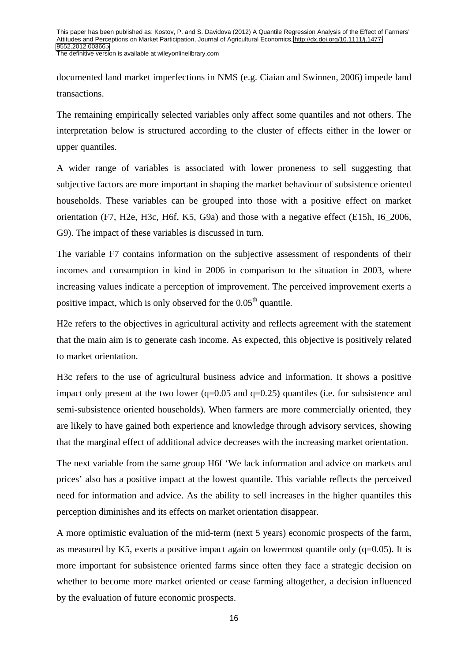The definitive version is available at wileyonlinelibrary.com

documented land market imperfections in NMS (e.g. Ciaian and Swinnen, 2006) impede land transactions.

The remaining empirically selected variables only affect some quantiles and not others. The interpretation below is structured according to the cluster of effects either in the lower or upper quantiles.

A wider range of variables is associated with lower proneness to sell suggesting that subjective factors are more important in shaping the market behaviour of subsistence oriented households. These variables can be grouped into those with a positive effect on market orientation (F7, H2e, H3c, H6f, K5, G9a) and those with a negative effect (E15h, I6\_2006, G9). The impact of these variables is discussed in turn.

The variable F7 contains information on the subjective assessment of respondents of their incomes and consumption in kind in 2006 in comparison to the situation in 2003, where increasing values indicate a perception of improvement. The perceived improvement exerts a positive impact, which is only observed for the 0.05<sup>th</sup> quantile.

H2e refers to the objectives in agricultural activity and reflects agreement with the statement that the main aim is to generate cash income. As expected, this objective is positively related to market orientation.

H3c refers to the use of agricultural business advice and information. It shows a positive impact only present at the two lower  $(q=0.05$  and  $q=0.25)$  quantiles (i.e. for subsistence and semi-subsistence oriented households). When farmers are more commercially oriented, they are likely to have gained both experience and knowledge through advisory services, showing that the marginal effect of additional advice decreases with the increasing market orientation.

The next variable from the same group H6f 'We lack information and advice on markets and prices' also has a positive impact at the lowest quantile. This variable reflects the perceived need for information and advice. As the ability to sell increases in the higher quantiles this perception diminishes and its effects on market orientation disappear.

A more optimistic evaluation of the mid-term (next 5 years) economic prospects of the farm, as measured by K5, exerts a positive impact again on lowermost quantile only (q=0.05). It is more important for subsistence oriented farms since often they face a strategic decision on whether to become more market oriented or cease farming altogether, a decision influenced by the evaluation of future economic prospects.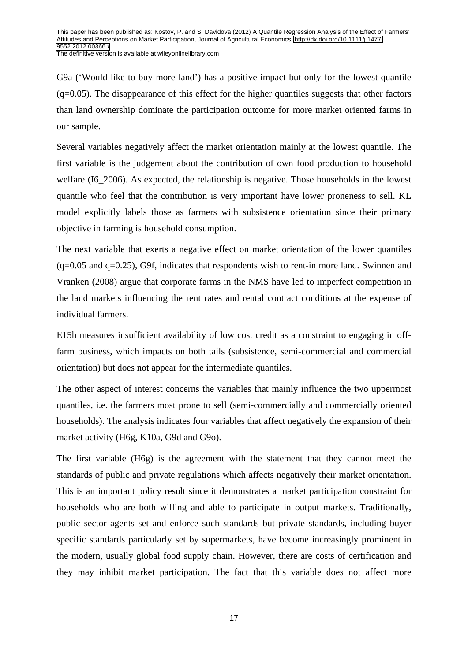The definitive version is available at wileyonlinelibrary.com

G9a ('Would like to buy more land') has a positive impact but only for the lowest quantile  $(q=0.05)$ . The disappearance of this effect for the higher quantiles suggests that other factors than land ownership dominate the participation outcome for more market oriented farms in our sample.

Several variables negatively affect the market orientation mainly at the lowest quantile. The first variable is the judgement about the contribution of own food production to household welfare (I6\_2006). As expected, the relationship is negative. Those households in the lowest quantile who feel that the contribution is very important have lower proneness to sell. KL model explicitly labels those as farmers with subsistence orientation since their primary objective in farming is household consumption.

The next variable that exerts a negative effect on market orientation of the lower quantiles  $(q=0.05$  and  $q=0.25$ ), G9f, indicates that respondents wish to rent-in more land. Swinnen and Vranken (2008) argue that corporate farms in the NMS have led to imperfect competition in the land markets influencing the rent rates and rental contract conditions at the expense of individual farmers.

E15h measures insufficient availability of low cost credit as a constraint to engaging in offfarm business, which impacts on both tails (subsistence, semi-commercial and commercial orientation) but does not appear for the intermediate quantiles.

The other aspect of interest concerns the variables that mainly influence the two uppermost quantiles, i.e. the farmers most prone to sell (semi-commercially and commercially oriented households). The analysis indicates four variables that affect negatively the expansion of their market activity (H6g, K10a, G9d and G9o).

The first variable (H6g) is the agreement with the statement that they cannot meet the standards of public and private regulations which affects negatively their market orientation. This is an important policy result since it demonstrates a market participation constraint for households who are both willing and able to participate in output markets. Traditionally, public sector agents set and enforce such standards but private standards, including buyer specific standards particularly set by supermarkets, have become increasingly prominent in the modern, usually global food supply chain. However, there are costs of certification and they may inhibit market participation. The fact that this variable does not affect more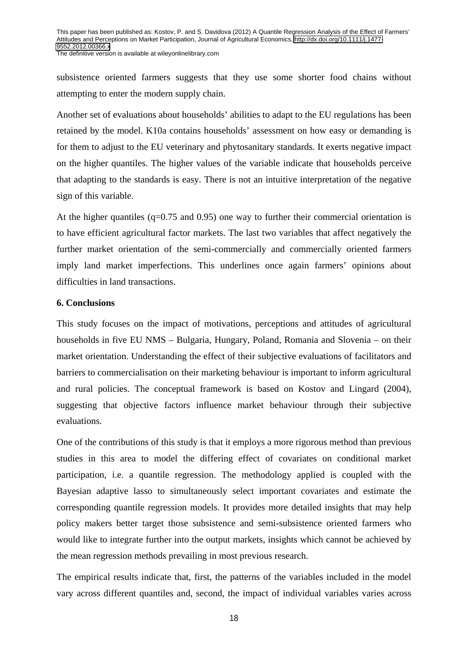The definitive version is available at wileyonlinelibrary.com

subsistence oriented farmers suggests that they use some shorter food chains without attempting to enter the modern supply chain.

Another set of evaluations about households' abilities to adapt to the EU regulations has been retained by the model. K10a contains households' assessment on how easy or demanding is for them to adjust to the EU veterinary and phytosanitary standards. It exerts negative impact on the higher quantiles. The higher values of the variable indicate that households perceive that adapting to the standards is easy. There is not an intuitive interpretation of the negative sign of this variable.

At the higher quantiles  $(q=0.75 \text{ and } 0.95)$  one way to further their commercial orientation is to have efficient agricultural factor markets. The last two variables that affect negatively the further market orientation of the semi-commercially and commercially oriented farmers imply land market imperfections. This underlines once again farmers' opinions about difficulties in land transactions.

#### **6. Conclusions**

This study focuses on the impact of motivations, perceptions and attitudes of agricultural households in five EU NMS – Bulgaria, Hungary, Poland, Romania and Slovenia – on their market orientation. Understanding the effect of their subjective evaluations of facilitators and barriers to commercialisation on their marketing behaviour is important to inform agricultural and rural policies. The conceptual framework is based on Kostov and Lingard (2004), suggesting that objective factors influence market behaviour through their subjective evaluations.

One of the contributions of this study is that it employs a more rigorous method than previous studies in this area to model the differing effect of covariates on conditional market participation, i.e. a quantile regression. The methodology applied is coupled with the Bayesian adaptive lasso to simultaneously select important covariates and estimate the corresponding quantile regression models. It provides more detailed insights that may help policy makers better target those subsistence and semi-subsistence oriented farmers who would like to integrate further into the output markets, insights which cannot be achieved by the mean regression methods prevailing in most previous research.

The empirical results indicate that, first, the patterns of the variables included in the model vary across different quantiles and, second, the impact of individual variables varies across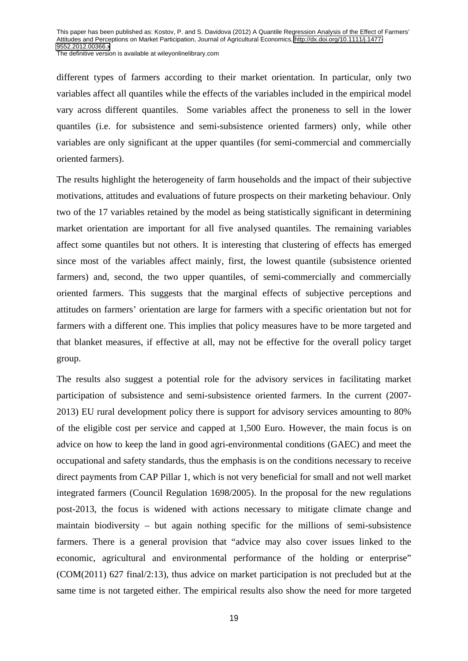This paper has been published as: Kostov, P. and S. Davidova (2012) A Quantile Regression Analysis of the Effect of Farmers' Attitudes and Perceptions on Market Participation, Journal of Agricultural Economics,<http://dx.doi.org/10.1111/j.1477-> <9552.2012.00366.x> The definitive version is available at wileyonlinelibrary.com

different types of farmers according to their market orientation. In particular, only two variables affect all quantiles while the effects of the variables included in the empirical model vary across different quantiles. Some variables affect the proneness to sell in the lower quantiles (i.e. for subsistence and semi-subsistence oriented farmers) only, while other variables are only significant at the upper quantiles (for semi-commercial and commercially oriented farmers).

The results highlight the heterogeneity of farm households and the impact of their subjective motivations, attitudes and evaluations of future prospects on their marketing behaviour. Only two of the 17 variables retained by the model as being statistically significant in determining market orientation are important for all five analysed quantiles. The remaining variables affect some quantiles but not others. It is interesting that clustering of effects has emerged since most of the variables affect mainly, first, the lowest quantile (subsistence oriented farmers) and, second, the two upper quantiles, of semi-commercially and commercially oriented farmers. This suggests that the marginal effects of subjective perceptions and attitudes on farmers' orientation are large for farmers with a specific orientation but not for farmers with a different one. This implies that policy measures have to be more targeted and that blanket measures, if effective at all, may not be effective for the overall policy target group.

The results also suggest a potential role for the advisory services in facilitating market participation of subsistence and semi-subsistence oriented farmers. In the current (2007- 2013) EU rural development policy there is support for advisory services amounting to 80% of the eligible cost per service and capped at 1,500 Euro. However, the main focus is on advice on how to keep the land in good agri-environmental conditions (GAEC) and meet the occupational and safety standards, thus the emphasis is on the conditions necessary to receive direct payments from CAP Pillar 1, which is not very beneficial for small and not well market integrated farmers (Council Regulation 1698/2005). In the proposal for the new regulations post-2013, the focus is widened with actions necessary to mitigate climate change and maintain biodiversity – but again nothing specific for the millions of semi-subsistence farmers. There is a general provision that "advice may also cover issues linked to the economic, agricultural and environmental performance of the holding or enterprise" (COM(2011) 627 final/2:13), thus advice on market participation is not precluded but at the same time is not targeted either. The empirical results also show the need for more targeted

19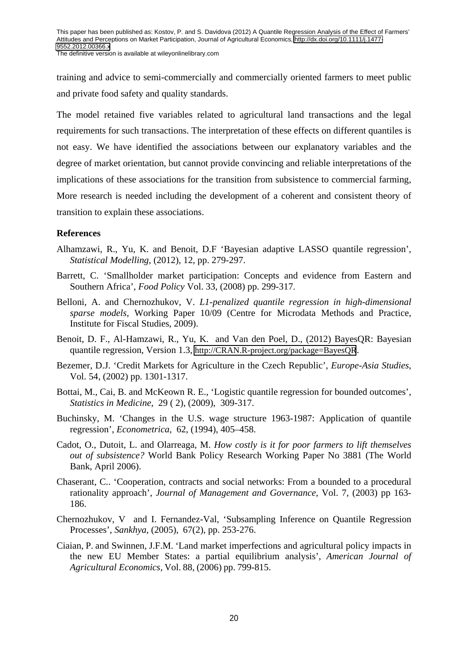The definitive version is available at wileyonlinelibrary.com

training and advice to semi-commercially and commercially oriented farmers to meet public and private food safety and quality standards.

The model retained five variables related to agricultural land transactions and the legal requirements for such transactions. The interpretation of these effects on different quantiles is not easy. We have identified the associations between our explanatory variables and the degree of market orientation, but cannot provide convincing and reliable interpretations of the implications of these associations for the transition from subsistence to commercial farming, More research is needed including the development of a coherent and consistent theory of transition to explain these associations.

#### **References**

- Alhamzawi, R., Yu, K. and Benoit, D.F 'Bayesian adaptive LASSO quantile regression', *Statistical Modelling*, (2012), 12, pp. 279-297.
- Barrett, C. 'Smallholder market participation: Concepts and evidence from Eastern and Southern Africa', *Food Policy* Vol. 33, (2008) pp. 299-317.
- Belloni, A. and Chernozhukov, V. *L1-penalized quantile regression in high-dimensional sparse models*, Working Paper 10/09 (Centre for Microdata Methods and Practice, Institute for Fiscal Studies, 2009).
- Benoit, D. F., Al-Hamzawi, R., Yu, K. and Van den Poel, D., (2012) BayesQR: Bayesian quantile regression, Version 1.3, <http://CRAN.R-project.org/package=BayesQR>.
- Bezemer, D.J. 'Credit Markets for Agriculture in the Czech Republic', *Europe-Asia Studies*, Vol. 54, (2002) pp. 1301-1317.
- Bottai, M., Cai, B. and McKeown R. E., 'Logistic quantile regression for bounded outcomes', *Statistics in Medicine*, 29 ( 2), (2009), 309-317.
- Buchinsky, M. 'Changes in the U.S. wage structure 1963-1987: Application of quantile regression', *Econometrica,* 62, (1994), 405–458.
- Cadot, O., Dutoit, L. and Olarreaga, M. *How costly is it for poor farmers to lift themselves out of subsistence?* World Bank Policy Research Working Paper No 3881 (The World Bank, April 2006).
- Chaserant, C.. 'Cooperation, contracts and social networks: From a bounded to a procedural rationality approach', *Journal of Management and Governance*, Vol. 7, (2003) pp 163- 186.
- Chernozhukov, V and I. Fernandez-Val, 'Subsampling Inference on Quantile Regression Processes', *Sankhya,* (2005), 67(2), pp. 253-276.
- Ciaian, P. and Swinnen, J.F.M. 'Land market imperfections and agricultural policy impacts in the new EU Member States: a partial equilibrium analysis', *American Journal of Agricultural Economics,* Vol. 88, (2006) pp. 799-815.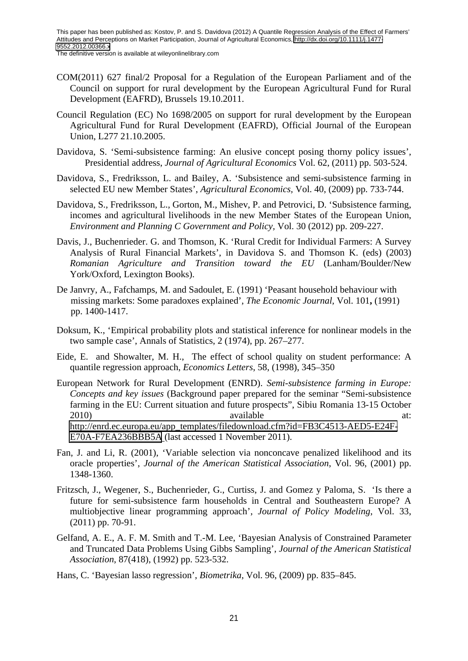The definitive version is available at wileyonlinelibrary.com

- COM(2011) 627 final/2 Proposal for a Regulation of the European Parliament and of the Council on support for rural development by the European Agricultural Fund for Rural Development (EAFRD), Brussels 19.10.2011.
- Council Regulation (EC) No 1698/2005 on support for rural development by the European Agricultural Fund for Rural Development (EAFRD), Official Journal of the European Union, L277 21.10.2005.
- Davidova, S. 'Semi-subsistence farming: An elusive concept posing thorny policy issues', Presidential address, *Journal of Agricultural Economics* Vol. 62, (2011) pp. 503-524.
- Davidova, S., Fredriksson, L. and Bailey, A. 'Subsistence and semi-subsistence farming in selected EU new Member States', *Agricultural Economics,* Vol. 40, (2009) pp. 733-744.
- Davidova, S., Fredriksson, L., Gorton, M., Mishev, P. and Petrovici, D. 'Subsistence farming, incomes and agricultural livelihoods in the new Member States of the European Union, *Environment and Planning C Government and Policy,* Vol. 30 (2012) pp. 209-227.
- Davis, J., Buchenrieder. G. and Thomson, K. 'Rural Credit for Individual Farmers: A Survey Analysis of Rural Financial Markets', in Davidova S. and Thomson K. (eds) (2003) *Romanian Agriculture and Transition toward the EU* (Lanham/Boulder/New York/Oxford, Lexington Books).
- De Janvry, A., Fafchamps, M. and Sadoulet, E. (1991) 'Peasant household behaviour with missing markets: Some paradoxes explained', *The Economic Journal,* Vol. 101**,** (1991) pp. 1400-1417.
- Doksum, K., 'Empirical probability plots and statistical inference for nonlinear models in the two sample case', Annals of Statistics, 2 (1974), pp. 267–277.
- Eide, E. and Showalter, M. H., The effect of school quality on student performance: A quantile regression approach, *Economics Letters*, 58, (1998), 345–350
- European Network for Rural Development (ENRD). *Semi-subsistence farming in Europe: Concepts and key issues* (Background paper prepared for the seminar "Semi-subsistence farming in the EU: Current situation and future prospects", Sibiu Romania 13-15 October 2010) available at: [http://enrd.ec.europa.eu/app\\_templates/filedownload.cfm?id=FB3C4513-AED5-E24F-](http://enrd.ec.europa.eu/app_templates/filedownload.cfm?id=FB3C4513-AED5-E24F-)<E70A-F7EA236BBB5A> (last accessed 1 November 2011).
- Fan, J. and Li, R. (2001), 'Variable selection via nonconcave penalized likelihood and its oracle properties', *Journal of the American Statistical Association*, Vol. 96, (2001) pp. 1348-1360.
- Fritzsch, J., Wegener, S., Buchenrieder, G., Curtiss, J. and Gomez y Paloma, S. 'Is there a future for semi-subsistence farm households in Central and Southeastern Europe? A multiobjective linear programming approach', *Journal of Policy Modeling*, Vol. 33, (2011) pp. 70-91.
- Gelfand, A. E., A. F. M. Smith and T.-M. Lee, 'Bayesian Analysis of Constrained Parameter and Truncated Data Problems Using Gibbs Sampling', *Journal of the American Statistical Association*, 87(418), (1992) pp. 523-532.

Hans, C. 'Bayesian lasso regression', *Biometrika*, Vol. 96, (2009) pp. 835–845.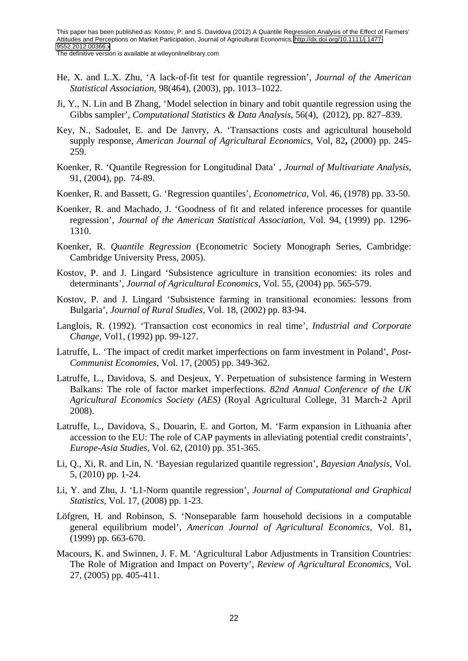The definitive version is available at wileyonlinelibrary.com

- He, X. and L.X. Zhu, 'A lack-of-fit test for quantile regression', *Journal of the American Statistical Association*, 98(464), (2003), pp. 1013–1022.
- Ji, Y., N. Lin and B Zhang, 'Model selection in binary and tobit quantile regression using the Gibbs sampler', *Computational Statistics & Data Analysis*, 56(4), (2012), pp. 827–839.
- Key, N., Sadoulet, E. and De Janvry, A. 'Transactions costs and agricultural household supply response, *American Journal of Agricultural Economics,* Vol, 82**,** (2000) pp. 245- 259.
- Koenker, R. 'Quantile Regression for Longitudinal Data' , *Journal of Multivariate Analysis*, 91, (2004), pp. 74-89.
- Koenker, R. and Bassett, G. 'Regression quantiles', *Econometrica*, Vol. 46, (1978) pp. 33-50.
- Koenker, R. and Machado, J. 'Goodness of fit and related inference processes for quantile regression', *Journal of the American Statistical Association*, Vol. 94, (1999) pp. 1296- 1310.
- Koenker, R. *Quantile Regression* (Econometric Society Monograph Series, Cambridge: Cambridge University Press, 2005).
- Kostov, P. and J. Lingard 'Subsistence agriculture in transition economies: its roles and determinants', *Journal of Agricultural Economics*, Vol. 55, (2004) pp. 565-579.
- Kostov, P. and J. Lingard 'Subsistence farming in transitional economies: lessons from Bulgaria', *Journal of Rural Studies*, Vol. 18, (2002) pp. 83-94.
- Langlois, R. (1992). 'Transaction cost economics in real time', *Industrial and Corporate Change*, Vol1, (1992) pp. 99-127.
- Latruffe, L. 'The impact of credit market imperfections on farm investment in Poland', *Post-Communist Economies*, Vol. 17, (2005) pp. 349-362.
- Latruffe, L., Davidova, S. and Desjeux, Y. Perpetuation of subsistence farming in Western Balkans: The role of factor market imperfections. *82nd Annual Conference of the UK Agricultural Economics Society (AES)* (Royal Agricultural College, 31 March-2 April 2008).
- Latruffe, L., Davidova, S., Douarin, E. and Gorton, M. 'Farm expansion in Lithuania after accession to the EU: The role of CAP payments in alleviating potential credit constraints', *Europe-Asia Studies*, Vol. 62, (2010) pp. 351-365.
- Li, Q., Xi, R. and Lin, N. 'Bayesian regularized quantile regression', *Bayesian Analysis*, Vol. 5, (2010) pp. 1-24.
- Li, Y. and Zhu, J. 'L1-Norm quantile regression', *Journal of Computational and Graphical Statistics,* Vol. 17, (2008) pp. 1-23.
- Löfgren, H. and Robinson, S. 'Nonseparable farm household decisions in a computable general equilibrium model', *American Journal of Agricultural Economics,* Vol. 81**,** (1999) pp. 663-670.
- Macours, K. and Swinnen, J. F. M. 'Agricultural Labor Adjustments in Transition Countries: The Role of Migration and Impact on Poverty', *Review of Agricultural Economics,* Vol. 27, (2005) pp. 405-411.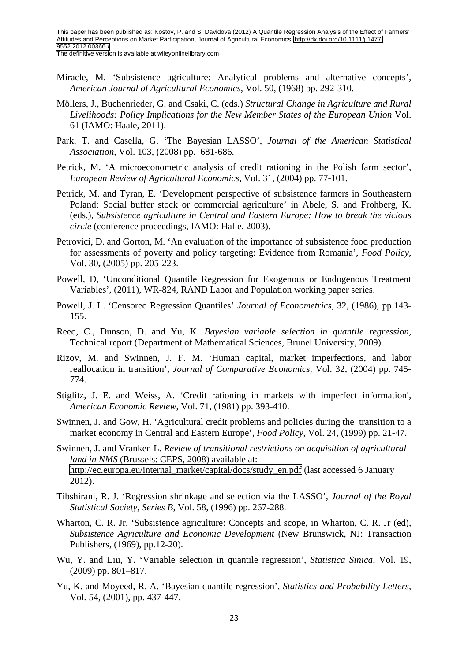The definitive version is available at wileyonlinelibrary.com

- Miracle, M. 'Subsistence agriculture: Analytical problems and alternative concepts', *American Journal of Agricultural Economics*, Vol. 50, (1968) pp. 292-310.
- Möllers, J., Buchenrieder, G. and Csaki, C. (eds.) *Structural Change in Agriculture and Rural Livelihoods: Policy Implications for the New Member States of the European Union* Vol. 61 (IAMO: Haale, 2011).
- Park, T. and Casella, G. 'The Bayesian LASSO', *Journal of the American Statistical Association,* Vol. 103, (2008) pp. 681-686.
- Petrick, M. 'A microeconometric analysis of credit rationing in the Polish farm sector', *European Review of Agricultural Economics*, Vol. 31, (2004) pp. 77-101.
- Petrick, M. and Tyran, E. 'Development perspective of subsistence farmers in Southeastern Poland: Social buffer stock or commercial agriculture' in Abele, S. and Frohberg, K. (eds.), *Subsistence agriculture in Central and Eastern Europe: How to break the vicious circle* (conference proceedings, IAMO: Halle, 2003).
- Petrovici, D. and Gorton, M. 'An evaluation of the importance of subsistence food production for assessments of poverty and policy targeting: Evidence from Romania', *Food Policy,* Vol. 30**,** (2005) pp. 205-223.
- Powell, D, 'Unconditional Quantile Regression for Exogenous or Endogenous Treatment Variables', (2011), WR-824, RAND Labor and Population working paper series.
- Powell, J. L. 'Censored Regression Quantiles' *Journal of Econometrics,* 32, (1986), pp.143- 155.
- Reed, C., Dunson, D. and Yu, K. *Bayesian variable selection in quantile regression*, Technical report (Department of Mathematical Sciences, Brunel University, 2009).
- Rizov, M. and Swinnen, J. F. M. 'Human capital, market imperfections, and labor reallocation in transition', *Journal of Comparative Economics,* Vol. 32, (2004) pp. 745- 774.
- Stiglitz, J. E. and Weiss, A. 'Credit rationing in markets with imperfect information', *American Economic Review*, Vol. 71, (1981) pp. 393-410.
- Swinnen, J. and Gow, H. 'Agricultural credit problems and policies during the transition to a market economy in Central and Eastern Europe', *Food Policy*, Vol. 24, (1999) pp. 21-47.
- Swinnen, J. and Vranken L. *Review of transitional restrictions on acquisition of agricultural land in NMS* (Brussels: CEPS, 2008) available at: [http://ec.europa.eu/internal\\_market/capital/docs/study\\_en.pdf](http://ec.europa.eu/internal_market/capital/docs/study_en.pdf) (last accessed 6 January 2012).
- Tibshirani, R. J. 'Regression shrinkage and selection via the LASSO', *Journal of the Royal Statistical Society, Series B*, Vol. 58, (1996) pp. 267-288.
- Wharton, C. R. Jr. 'Subsistence agriculture: Concepts and scope, in Wharton, C. R. Jr (ed), *Subsistence Agriculture and Economic Development* (New Brunswick, NJ: Transaction Publishers, (1969), pp.12-20).
- Wu, Y. and Liu, Y. 'Variable selection in quantile regression', *Statistica Sinica*, Vol. 19, (2009) pp. 801–817.
- Yu, K. and Moyeed, R. A. 'Bayesian quantile regression', *Statistics and Probability Letters*, Vol. 54, (2001), pp. 437-447.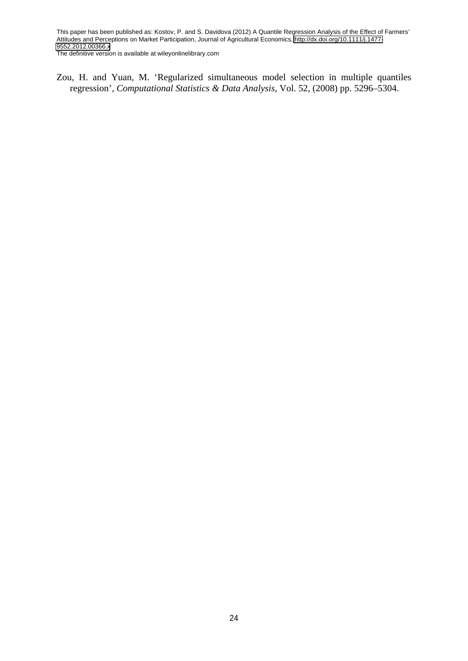The definitive version is available at wileyonlinelibrary.com

Zou, H. and Yuan, M. 'Regularized simultaneous model selection in multiple quantiles regression', *Computational Statistics & Data Analysis*, Vol. 52, (2008) pp. 5296–5304.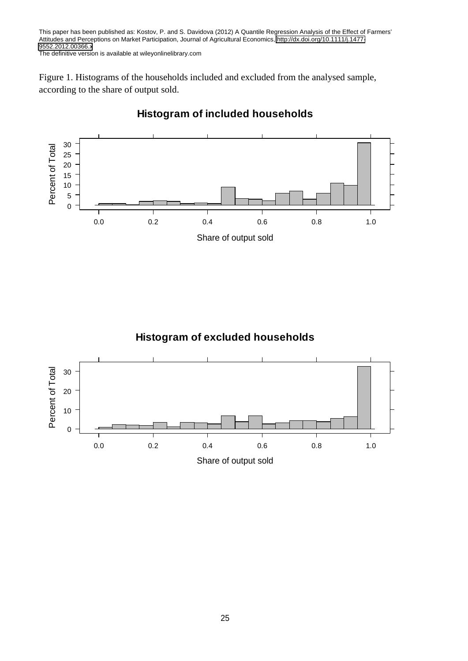The definitive version is available at wileyonlinelibrary.com

Figure 1. Histograms of the households included and excluded from the analysed sample, according to the share of output sold.



## **Histogram of included households**

## **Histogram of excluded households**

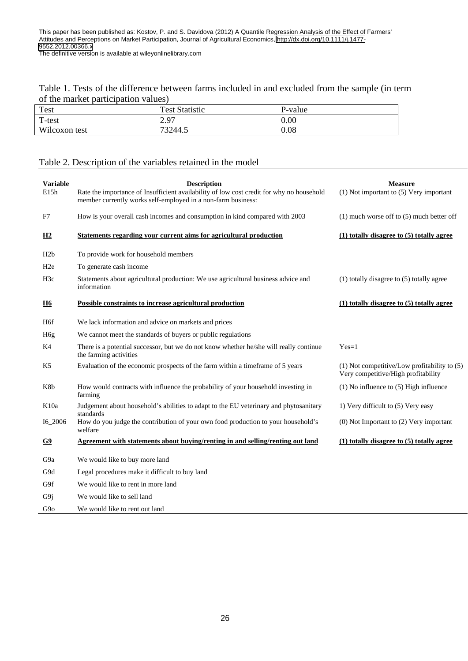The definitive version is available at wileyonlinelibrary.com

| Table 1. Tests of the difference between farms included in and excluded from the sample (in term |  |  |  |  |  |  |
|--------------------------------------------------------------------------------------------------|--|--|--|--|--|--|
| of the market participation values)                                                              |  |  |  |  |  |  |

| Test          | <b>Test Statistic</b> | P-value  |  |
|---------------|-----------------------|----------|--|
| T-test        | 2.97                  | $0.00\,$ |  |
| Wilcoxon test | 73244.5               | 0.08     |  |
|               |                       |          |  |

#### Table 2. Description of the variables retained in the model

| <b>Variable</b>  | <b>Description</b>                                                                                                                                       | <b>Measure</b>                                                                          |
|------------------|----------------------------------------------------------------------------------------------------------------------------------------------------------|-----------------------------------------------------------------------------------------|
| E15h             | Rate the importance of Insufficient availability of low cost credit for why no household<br>member currently works self-employed in a non-farm business: | $(1)$ Not important to $(5)$ Very important                                             |
| F7               | How is your overall cash incomes and consumption in kind compared with 2003                                                                              | $(1)$ much worse off to $(5)$ much better off                                           |
| H <sub>2</sub>   | Statements regarding your current aims for agricultural production                                                                                       | $(1)$ totally disagree to $(5)$ totally agree                                           |
| H2b              | To provide work for household members                                                                                                                    |                                                                                         |
| H <sub>2</sub> e | To generate cash income                                                                                                                                  |                                                                                         |
| H <sub>3c</sub>  | Statements about agricultural production: We use agricultural business advice and<br>information                                                         | $(1)$ totally disagree to $(5)$ totally agree                                           |
| H <sub>6</sub>   | Possible constraints to increase agricultural production                                                                                                 | $(1)$ totally disagree to $(5)$ totally agree                                           |
| H6f              | We lack information and advice on markets and prices                                                                                                     |                                                                                         |
| H <sub>6g</sub>  | We cannot meet the standards of buyers or public regulations                                                                                             |                                                                                         |
| K4               | There is a potential successor, but we do not know whether he/she will really continue<br>the farming activities                                         | $Yes=1$                                                                                 |
| K <sub>5</sub>   | Evaluation of the economic prospects of the farm within a timeframe of 5 years                                                                           | $(1)$ Not competitive/Low profitability to $(5)$<br>Very competitive/High profitability |
| K8b              | How would contracts with influence the probability of your household investing in<br>farming                                                             | $(1)$ No influence to $(5)$ High influence                                              |
| K10a             | Judgement about household's abilities to adapt to the EU veterinary and phytosanitary<br>standards                                                       | 1) Very difficult to (5) Very easy                                                      |
| $I6_2006$        | How do you judge the contribution of your own food production to your household's<br>welfare                                                             | $(0)$ Not Important to $(2)$ Very important                                             |
| G9               | Agreement with statements about buying/renting in and selling/renting out land                                                                           | $(1)$ totally disagree to $(5)$ totally agree                                           |
| G9a              | We would like to buy more land                                                                                                                           |                                                                                         |
| G9d              | Legal procedures make it difficult to buy land                                                                                                           |                                                                                         |
| G9f              | We would like to rent in more land                                                                                                                       |                                                                                         |
| G9j              | We would like to sell land                                                                                                                               |                                                                                         |
| G9o              | We would like to rent out land                                                                                                                           |                                                                                         |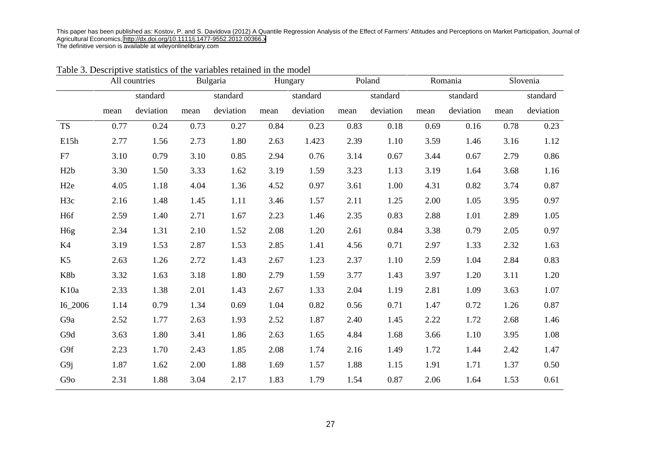This paper has been published as: Kostov, P. and S. Davidova (2012) A Quantile Regression Analysis of the Effect of Farmers' Attitudes and Perceptions on Market Participation, Journal of Agricultural Economics,<http://dx.doi.org/10.1111/j.1477-9552.2012.00366.x> The definitive version is available at wileyonlinelibrary.com

|                  | All countries |           |      | Bulgaria  | Poland<br>Hungary |           |      | Romania   |      | Slovenia  |      |           |
|------------------|---------------|-----------|------|-----------|-------------------|-----------|------|-----------|------|-----------|------|-----------|
|                  |               | standard  |      | standard  |                   | standard  |      | standard  |      | standard  |      | standard  |
|                  | mean          | deviation | mean | deviation | mean              | deviation | mean | deviation | mean | deviation | mean | deviation |
| <b>TS</b>        | 0.77          | 0.24      | 0.73 | 0.27      | 0.84              | 0.23      | 0.83 | $0.18\,$  | 0.69 | 0.16      | 0.78 | 0.23      |
| E15h             | 2.77          | 1.56      | 2.73 | 1.80      | 2.63              | 1.423     | 2.39 | 1.10      | 3.59 | 1.46      | 3.16 | $1.12\,$  |
| F7               | 3.10          | 0.79      | 3.10 | 0.85      | 2.94              | 0.76      | 3.14 | 0.67      | 3.44 | 0.67      | 2.79 | 0.86      |
| H <sub>2</sub> b | 3.30          | 1.50      | 3.33 | 1.62      | 3.19              | 1.59      | 3.23 | 1.13      | 3.19 | 1.64      | 3.68 | 1.16      |
| H <sub>2e</sub>  | 4.05          | 1.18      | 4.04 | 1.36      | 4.52              | 0.97      | 3.61 | 1.00      | 4.31 | 0.82      | 3.74 | 0.87      |
| H <sub>3c</sub>  | 2.16          | 1.48      | 1.45 | 1.11      | 3.46              | 1.57      | 2.11 | 1.25      | 2.00 | 1.05      | 3.95 | 0.97      |
| H <sub>6f</sub>  | 2.59          | 1.40      | 2.71 | 1.67      | 2.23              | 1.46      | 2.35 | 0.83      | 2.88 | 1.01      | 2.89 | 1.05      |
| H <sub>6g</sub>  | 2.34          | 1.31      | 2.10 | 1.52      | 2.08              | 1.20      | 2.61 | 0.84      | 3.38 | 0.79      | 2.05 | 0.97      |
| K4               | 3.19          | 1.53      | 2.87 | 1.53      | 2.85              | 1.41      | 4.56 | 0.71      | 2.97 | 1.33      | 2.32 | 1.63      |
| K <sub>5</sub>   | 2.63          | 1.26      | 2.72 | 1.43      | 2.67              | 1.23      | 2.37 | 1.10      | 2.59 | 1.04      | 2.84 | 0.83      |
| K8b              | 3.32          | 1.63      | 3.18 | 1.80      | 2.79              | 1.59      | 3.77 | 1.43      | 3.97 | 1.20      | 3.11 | 1.20      |
| K10a             | 2.33          | 1.38      | 2.01 | 1.43      | 2.67              | 1.33      | 2.04 | 1.19      | 2.81 | 1.09      | 3.63 | 1.07      |
| I6_2006          | 1.14          | 0.79      | 1.34 | 0.69      | 1.04              | 0.82      | 0.56 | 0.71      | 1.47 | 0.72      | 1.26 | 0.87      |
| G9a              | 2.52          | 1.77      | 2.63 | 1.93      | 2.52              | 1.87      | 2.40 | 1.45      | 2.22 | 1.72      | 2.68 | 1.46      |
| G9d              | 3.63          | 1.80      | 3.41 | 1.86      | 2.63              | 1.65      | 4.84 | 1.68      | 3.66 | 1.10      | 3.95 | 1.08      |
| G9f              | 2.23          | 1.70      | 2.43 | 1.85      | 2.08              | 1.74      | 2.16 | 1.49      | 1.72 | 1.44      | 2.42 | 1.47      |
| G9j              | 1.87          | 1.62      | 2.00 | 1.88      | 1.69              | 1.57      | 1.88 | 1.15      | 1.91 | 1.71      | 1.37 | 0.50      |
| G <sub>90</sub>  | 2.31          | 1.88      | 3.04 | 2.17      | 1.83              | 1.79      | 1.54 | 0.87      | 2.06 | 1.64      | 1.53 | 0.61      |
|                  |               |           |      |           |                   |           |      |           |      |           |      |           |

Table 3. Descriptive statistics of the variables retained in the model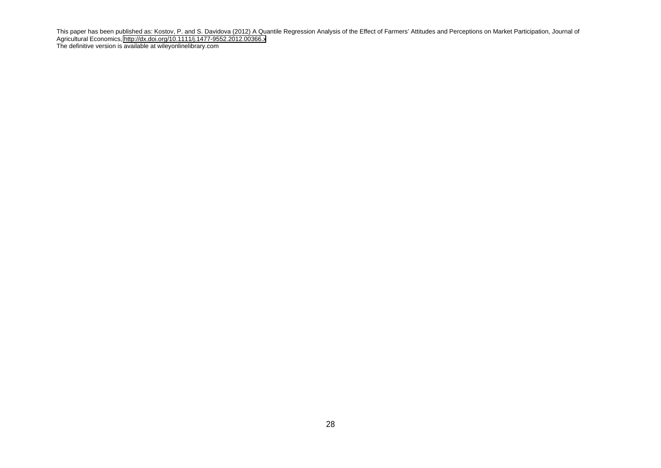This paper has been published as: Kostov, P. and S. Davidova (2012) A Quantile Regression Analysis of the Effect of Farmers' Attitudes and Perceptions on Market Participation, Journal of Agricultural Economics,<http://dx.doi.org/10.1111/j.1477-9552.2012.00366.x> The definitive version is available at wileyonlinelibrary.com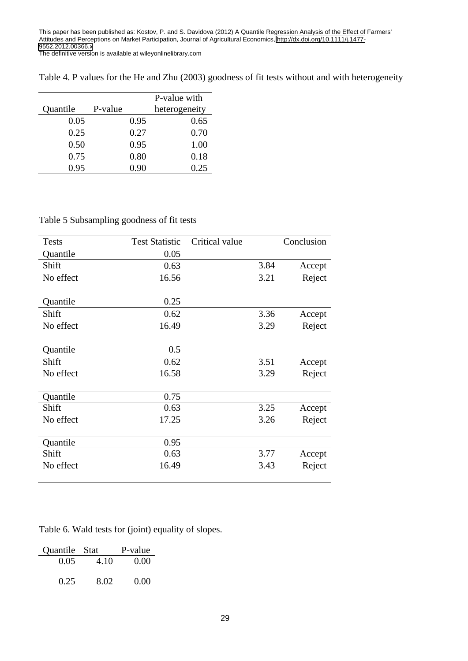The definitive version is available at wileyonlinelibrary.com

|          |         |      | P-value with  |
|----------|---------|------|---------------|
| Quantile | P-value |      | heterogeneity |
| 0.05     |         | 0.95 | 0.65          |
| 0.25     |         | 0.27 | 0.70          |
| 0.50     |         | 0.95 | 1.00          |
| 0.75     |         | 0.80 | 0.18          |
| 0.95     |         | 0.90 | 0.25          |

Table 4. P values for the He and Zhu (2003) goodness of fit tests without and with heterogeneity

Table 5 Subsampling goodness of fit tests

| <b>Tests</b> | <b>Test Statistic</b> | Critical value |      | Conclusion |
|--------------|-----------------------|----------------|------|------------|
| Quantile     | 0.05                  |                |      |            |
| Shift        | 0.63                  |                | 3.84 | Accept     |
| No effect    | 16.56                 |                | 3.21 | Reject     |
|              |                       |                |      |            |
| Quantile     | 0.25                  |                |      |            |
| Shift        | 0.62                  |                | 3.36 | Accept     |
| No effect    | 16.49                 |                | 3.29 | Reject     |
|              |                       |                |      |            |
| Quantile     | 0.5                   |                |      |            |
| Shift        | 0.62                  |                | 3.51 | Accept     |
| No effect    | 16.58                 |                | 3.29 | Reject     |
|              |                       |                |      |            |
| Quantile     | 0.75                  |                |      |            |
| Shift        | 0.63                  |                | 3.25 | Accept     |
| No effect    | 17.25                 |                | 3.26 | Reject     |
|              |                       |                |      |            |
| Quantile     | 0.95                  |                |      |            |
| Shift        | 0.63                  |                | 3.77 | Accept     |
| No effect    | 16.49                 |                | 3.43 | Reject     |
|              |                       |                |      |            |

Table 6. Wald tests for (joint) equality of slopes.

| Quantile Stat |      | P-value |
|---------------|------|---------|
| 0.05          | 4.10 | 0.00    |
|               |      |         |
| 0.25          | 8.02 | 0.00    |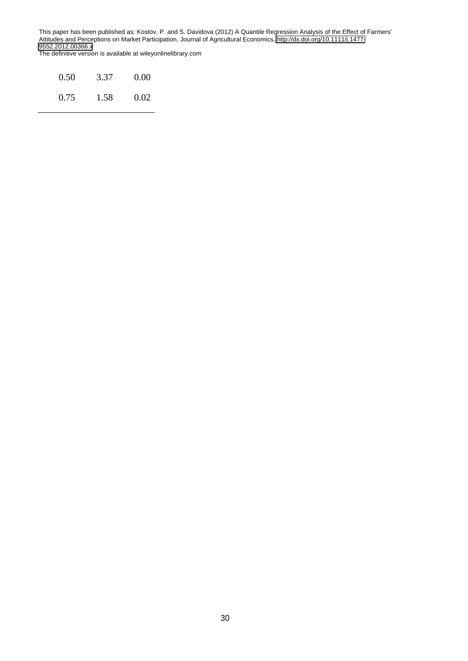The definitive version is available at wileyonlinelibrary.com

| 0.50 | 3.37 | 0.00 |
|------|------|------|
| 0.75 | 1.58 | 0.02 |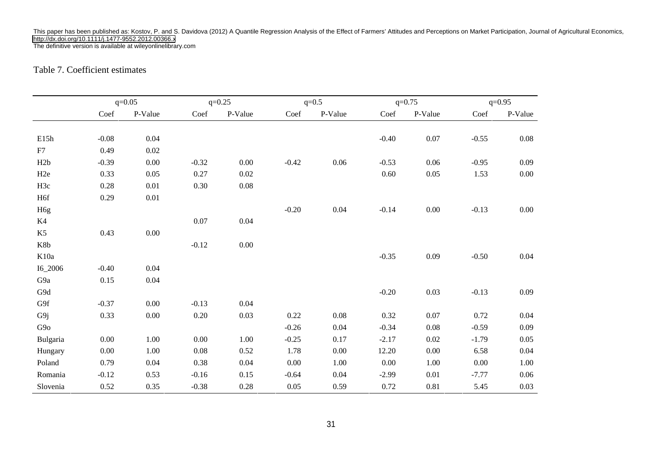This paper has been published as: Kostov, P. and S. Davidova (2012) A Quantile Regression Analysis of the Effect of Farmers' Attitudes and Perceptions on Market Participation, Journal of Agricultural Economics, <http://dx.doi.org/10.1111/j.1477-9552.2012.00366.x> The definitive version is available at wileyonlinelibrary.com

#### Table 7. Coefficient estimates

|                 | $q=0.05$ |          | $q=0.25$ |          |         | $q=0.5$  |         | $q=0.75$ |         | $q=0.95$ |  |
|-----------------|----------|----------|----------|----------|---------|----------|---------|----------|---------|----------|--|
|                 | Coef     | P-Value  | Coef     | P-Value  | Coef    | P-Value  | Coef    | P-Value  | Coef    | P-Value  |  |
|                 |          |          |          |          |         |          |         |          |         |          |  |
| E15h            | $-0.08$  | 0.04     |          |          |         |          | $-0.40$ | $0.07\,$ | $-0.55$ | 0.08     |  |
| ${\rm F}7$      | 0.49     | 0.02     |          |          |         |          |         |          |         |          |  |
| H2b             | $-0.39$  | 0.00     | $-0.32$  | 0.00     | $-0.42$ | 0.06     | $-0.53$ | 0.06     | $-0.95$ | 0.09     |  |
| H <sub>2e</sub> | 0.33     | 0.05     | 0.27     | $0.02\,$ |         |          | 0.60    | 0.05     | 1.53    | $0.00\,$ |  |
| H3c             | 0.28     | 0.01     | 0.30     | $0.08\,$ |         |          |         |          |         |          |  |
| H <sub>6f</sub> | 0.29     | 0.01     |          |          |         |          |         |          |         |          |  |
| H6g             |          |          |          |          | $-0.20$ | 0.04     | $-0.14$ | 0.00     | $-0.13$ | $0.00\,$ |  |
| K4              |          |          | $0.07\,$ | $0.04\,$ |         |          |         |          |         |          |  |
| K <sub>5</sub>  | 0.43     | $0.00\,$ |          |          |         |          |         |          |         |          |  |
| K8b             |          |          | $-0.12$  | 0.00     |         |          |         |          |         |          |  |
| K10a            |          |          |          |          |         |          | $-0.35$ | 0.09     | $-0.50$ | 0.04     |  |
| I6_2006         | $-0.40$  | 0.04     |          |          |         |          |         |          |         |          |  |
| G9a             | 0.15     | 0.04     |          |          |         |          |         |          |         |          |  |
| G9d             |          |          |          |          |         |          | $-0.20$ | 0.03     | $-0.13$ | 0.09     |  |
| G9f             | $-0.37$  | $0.00\,$ | $-0.13$  | 0.04     |         |          |         |          |         |          |  |
| G9j             | 0.33     | 0.00     | $0.20\,$ | 0.03     | 0.22    | $0.08\,$ | 0.32    | 0.07     | 0.72    | 0.04     |  |
| G9o             |          |          |          |          | $-0.26$ | 0.04     | $-0.34$ | 0.08     | $-0.59$ | 0.09     |  |
| Bulgaria        | 0.00     | 1.00     | 0.00     | 1.00     | $-0.25$ | 0.17     | $-2.17$ | $0.02\,$ | $-1.79$ | 0.05     |  |
| Hungary         | $0.00\,$ | 1.00     | 0.08     | 0.52     | 1.78    | 0.00     | 12.20   | 0.00     | 6.58    | 0.04     |  |
| Poland          | 0.79     | 0.04     | 0.38     | 0.04     | 0.00    | 1.00     | 0.00    | 1.00     | 0.00    | 1.00     |  |
| Romania         | $-0.12$  | 0.53     | $-0.16$  | 0.15     | $-0.64$ | 0.04     | $-2.99$ | 0.01     | $-7.77$ | 0.06     |  |
| Slovenia        | 0.52     | 0.35     | $-0.38$  | 0.28     | 0.05    | 0.59     | 0.72    | 0.81     | 5.45    | 0.03     |  |